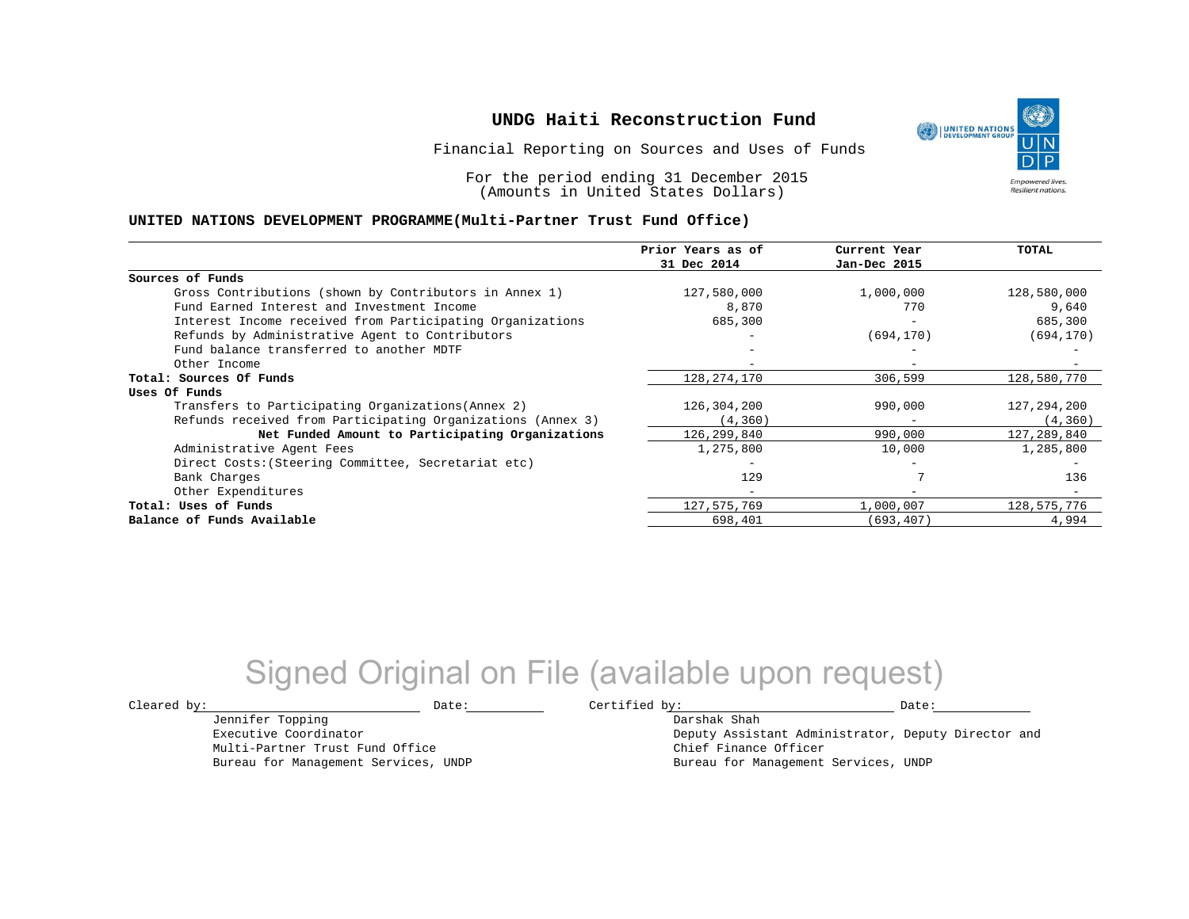Financial Reporting on Sources and Uses of Funds

For the period ending 31 December 2015 (Amounts in United States Dollars)

#### **UNITED NATIONS DEVELOPMENT PROGRAMME(Multi-Partner Trust Fund Office)**

|                                                             | Prior Years as of<br>31 Dec 2014 | Current Year<br>Jan-Dec 2015 | TOTAL       |
|-------------------------------------------------------------|----------------------------------|------------------------------|-------------|
|                                                             |                                  |                              |             |
| Sources of Funds                                            |                                  |                              |             |
| Gross Contributions (shown by Contributors in Annex 1)      | 127,580,000                      | 1,000,000                    | 128,580,000 |
| Fund Earned Interest and Investment Income                  | 8,870                            | 770                          | 9,640       |
| Interest Income received from Participating Organizations   | 685,300                          | -                            | 685,300     |
| Refunds by Administrative Agent to Contributors             |                                  | (694, 170)                   | (694, 170)  |
| Fund balance transferred to another MDTF                    |                                  |                              |             |
| Other Income                                                |                                  |                              |             |
| Total: Sources Of Funds                                     | 128, 274, 170                    | 306,599                      | 128,580,770 |
| Uses Of Funds                                               |                                  |                              |             |
| Transfers to Participating Organizations (Annex 2)          | 126,304,200                      | 990,000                      | 127,294,200 |
| Refunds received from Participating Organizations (Annex 3) | (4, 360)                         | $\qquad \qquad -$            | (4, 360)    |
| Net Funded Amount to Participating Organizations            | 126, 299, 840                    | 990,000                      | 127,289,840 |
| Administrative Agent Fees                                   | 1,275,800                        | 10,000                       | 1,285,800   |
| Direct Costs: (Steering Committee, Secretariat etc)         |                                  |                              |             |
| Bank Charges                                                | 129                              |                              | 136         |
| Other Expenditures                                          | $\equiv$                         | -                            |             |
| Total: Uses of Funds                                        | 127,575,769                      | 1,000,007                    | 128,575,776 |
| Balance of Funds Available                                  | 698,401                          | (693,407)                    | 4,994       |

# Signed Original on File (available upon request)

Jennifer Topping Executive Coordinator Multi-Partner Trust Fund Office Bureau for Management Services, UNDP

 $\texttt{Cleared by:}\footnotesize \begin{minipage}{0.9\linewidth} \texttt{Date:}\footnotesize \begin{minipage}{0.9\linewidth} \texttt{Date:}\footnotesize \begin{minipage}{0.9\linewidth} \end{minipage} \end{minipage}$ 

Darshak Shah Deputy Assistant Administrator, Deputy Director and Chief Finance Officer Bureau for Management Services, UNDP

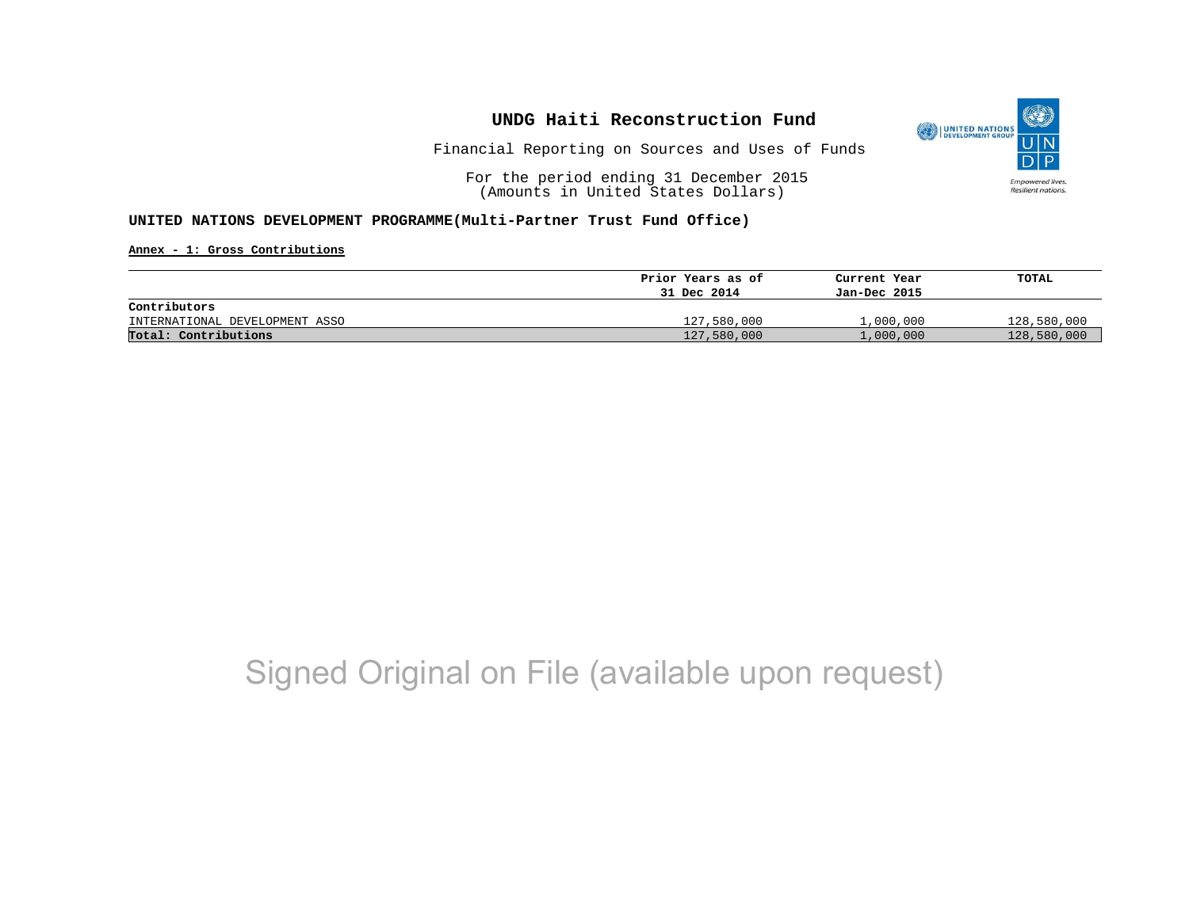

Financial Reporting on Sources and Uses of Funds

For the period ending 31 December 2015 (Amounts in United States Dollars)

#### **UNITED NATIONS DEVELOPMENT PROGRAMME(Multi-Partner Trust Fund Office)**

**Annex - 1: Gross Contributions**

|                                | Prior Years as of | Current Year | TOTAL       |
|--------------------------------|-------------------|--------------|-------------|
|                                | 31 Dec 2014       | Jan-Dec 2015 |             |
| Contributors                   |                   |              |             |
| INTERNATIONAL DEVELOPMENT ASSO | 127,580,000       | 1,000,000    | 128,580,000 |
| Total: Contributions           | 127,580,000       | 1,000,000    | 128,580,000 |

# Signed Original on File (available upon request)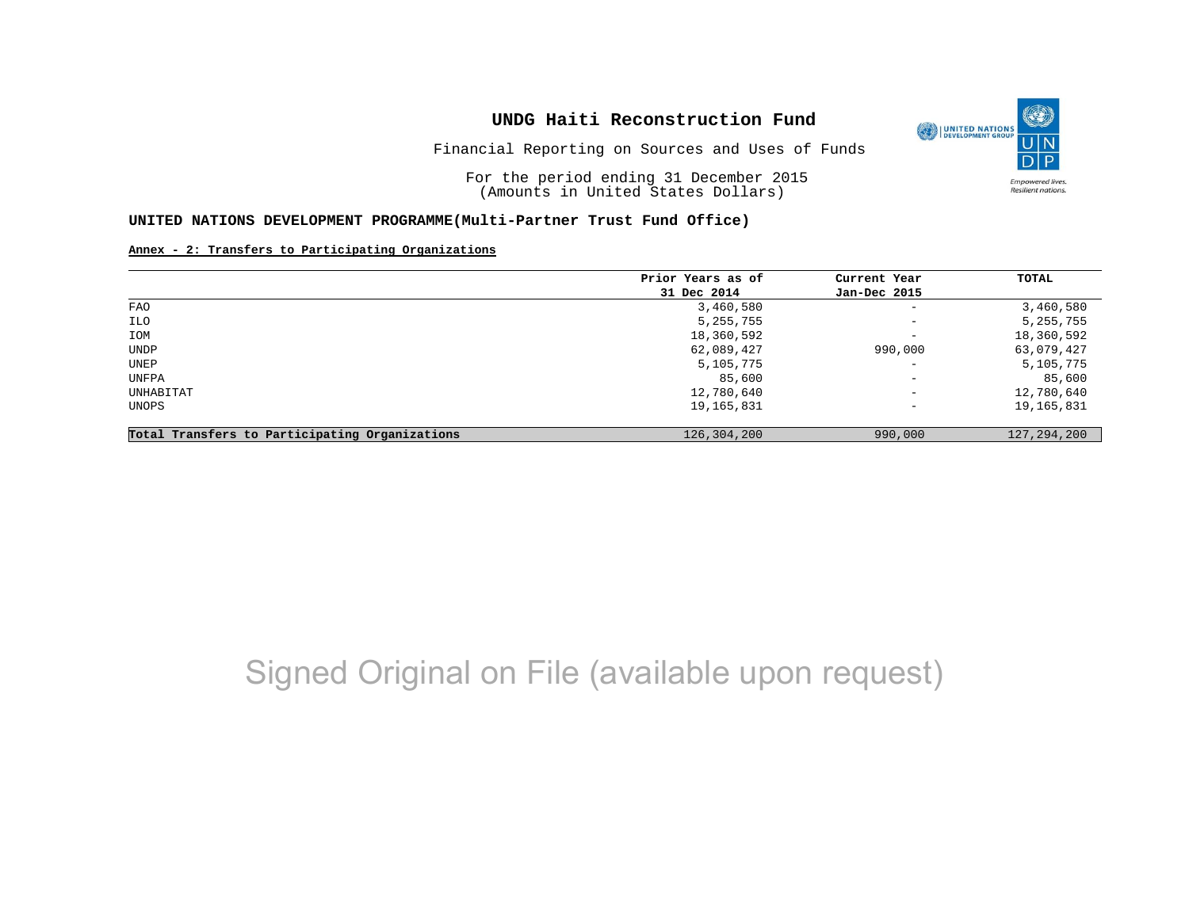

Financial Reporting on Sources and Uses of Funds

For the period ending 31 December 2015 (Amounts in United States Dollars)

#### **UNITED NATIONS DEVELOPMENT PROGRAMME(Multi-Partner Trust Fund Office)**

#### **Annex - 2: Transfers to Participating Organizations**

|                                                   | Prior Years as of | Current Year             | TOTAL         |
|---------------------------------------------------|-------------------|--------------------------|---------------|
|                                                   | 31 Dec 2014       | Jan-Dec 2015             |               |
| <b>FAO</b>                                        | 3,460,580         | $\overline{\phantom{a}}$ | 3,460,580     |
| ILO                                               | 5,255,755         | $\overline{\phantom{a}}$ | 5, 255, 755   |
| IOM                                               | 18,360,592        | $\overline{\phantom{a}}$ | 18,360,592    |
| UNDP                                              | 62,089,427        | 990,000                  | 63,079,427    |
| UNEP                                              | 5,105,775         | $\overline{\phantom{0}}$ | 5,105,775     |
| UNFPA                                             | 85,600            | $\overline{\phantom{m}}$ | 85,600        |
| UNHABITAT                                         | 12,780,640        | $\overline{\phantom{a}}$ | 12,780,640    |
| UNOPS                                             | 19,165,831        | $\overline{\phantom{a}}$ | 19,165,831    |
| Participating Organizations<br>Total Transfers to | 126,304,200       | 990,000                  | 127, 294, 200 |

# Signed Original on File (available upon request)